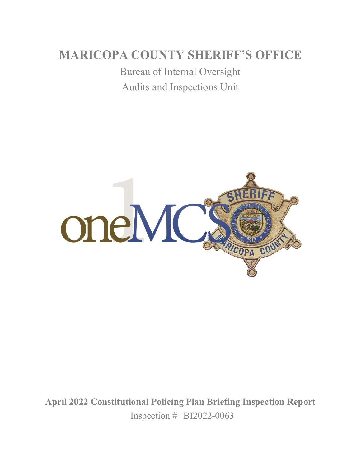# **MARICOPA COUNTY SHERIFF'S OFFICE**

Bureau of Internal Oversight Audits and Inspections Unit



**April 2022 Constitutional Policing Plan Briefing Inspection Report** Inspection # BI2022-0063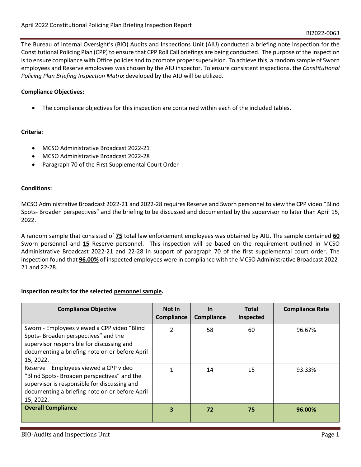The Bureau of Internal Oversight's (BIO) Audits and Inspections Unit (AIU) conducted a briefing note inspection for the Constitutional Policing Plan (CPP) to ensure that CPP Roll Call briefings are being conducted. The purpose of the inspection is to ensure compliance with Office policies and to promote proper supervision. To achieve this, a random sample of Sworn employees and Reserve employees was chosen by the AIU inspector. To ensure consistent inspections, the *Constitutional Policing Plan Briefing Inspection Matrix* developed by the AIU will be utilized.

### **Compliance Objectives:**

• The compliance objectives for this inspection are contained within each of the included tables.

#### **Criteria:**

- MCSO Administrative Broadcast 2022-21
- MCSO Administrative Broadcast 2022-28
- Paragraph 70 of the First Supplemental Court Order

#### **Conditions:**

MCSO Administrative Broadcast 2022-21 and 2022-28 requires Reserve and Sworn personnel to view the CPP video "Blind Spots- Broaden perspectives" and the briefing to be discussed and documented by the supervisor no later than April 15, 2022.

A random sample that consisted of **75** total law enforcement employees was obtained by AIU. The sample contained **60** Sworn personnel and **15** Reserve personnel. This inspection will be based on the requirement outlined in MCSO Administrative Broadcast 2022-21 and 22-28 in support of paragraph 70 of the first supplemental court order. The inspection found that **96.00%** of inspected employees were in compliance with the MCSO Administrative Broadcast 2022- 21 and 22-28.

#### **Inspection results for the selected personnel sample.**

| <b>Compliance Objective</b>                                                                                                                                                                         | Not In<br>Compliance | <b>In</b><br>Compliance | <b>Total</b><br>Inspected | <b>Compliance Rate</b> |
|-----------------------------------------------------------------------------------------------------------------------------------------------------------------------------------------------------|----------------------|-------------------------|---------------------------|------------------------|
| Sworn - Employees viewed a CPP video "Blind"<br>Spots-Broaden perspectives" and the<br>supervisor responsible for discussing and<br>documenting a briefing note on or before April<br>15, 2022.     | 2                    | 58                      | 60                        | 96.67%                 |
| Reserve - Employees viewed a CPP video<br>"Blind Spots-Broaden perspectives" and the<br>supervisor is responsible for discussing and<br>documenting a briefing note on or before April<br>15, 2022. |                      | 14                      | 15                        | 93.33%                 |
| <b>Overall Compliance</b>                                                                                                                                                                           | 3                    | 72                      | 75                        | 96.00%                 |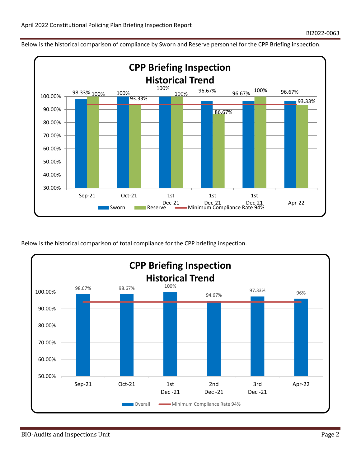Below is the historical comparison of compliance by Sworn and Reserve personnel for the CPP Briefing inspection.



Below is the historical comparison of total compliance for the CPP briefing inspection.

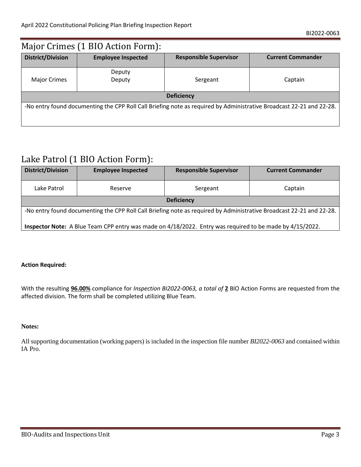| Major Crimes (1 BIO Action Form):                                                                                    |                           |                               |                          |  |  |
|----------------------------------------------------------------------------------------------------------------------|---------------------------|-------------------------------|--------------------------|--|--|
| <b>District/Division</b>                                                                                             | <b>Employee Inspected</b> | <b>Responsible Supervisor</b> | <b>Current Commander</b> |  |  |
| <b>Major Crimes</b>                                                                                                  | Deputy<br>Deputy          | Sergeant                      | Captain                  |  |  |
| <b>Deficiency</b>                                                                                                    |                           |                               |                          |  |  |
| -No entry found documenting the CPP Roll Call Briefing note as required by Administrative Broadcast 22-21 and 22-28. |                           |                               |                          |  |  |

## Lake Patrol (1 BIO Action Form):

| <b>District/Division</b>                                                                                             | <b>Employee Inspected</b> | <b>Responsible Supervisor</b> | <b>Current Commander</b> |  |
|----------------------------------------------------------------------------------------------------------------------|---------------------------|-------------------------------|--------------------------|--|
| Lake Patrol                                                                                                          | Reserve                   | Sergeant                      | Captain                  |  |
| <b>Deficiency</b>                                                                                                    |                           |                               |                          |  |
| -No entry found documenting the CPP Roll Call Briefing note as required by Administrative Broadcast 22-21 and 22-28. |                           |                               |                          |  |
| Inspector Note: A Blue Team CPP entry was made on 4/18/2022. Entry was required to be made by 4/15/2022.             |                           |                               |                          |  |

#### **Action Required:**

With the resulting **96.00%** compliance for *Inspection BI2022-0063, a total of* **2** BIO Action Forms are requested from the affected division. The form shall be completed utilizing Blue Team.

#### **Notes:**

All supporting documentation (working papers) is included in the inspection file number *BI2022-0063* and contained within IA Pro.